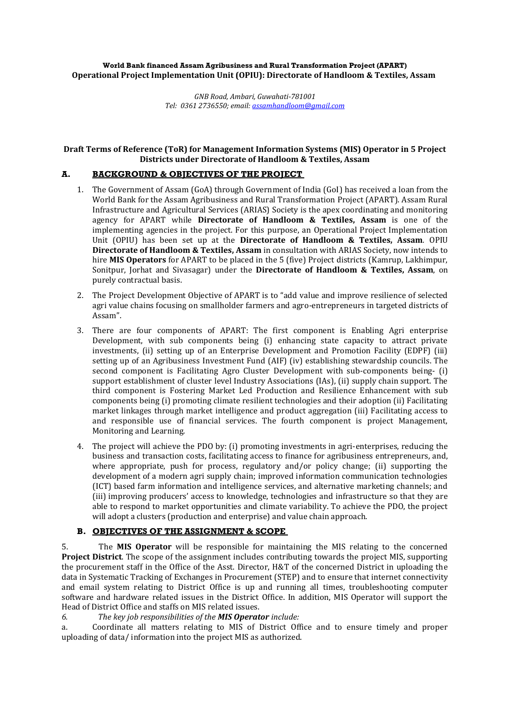#### **World Bank financed Assam Agribusiness and Rural Transformation Project (APART) Operational Project Implementation Unit (OPIU): Directorate of Handloom & Textiles, Assam**

*GNB Road, Ambari, Guwahati-781001 Tel: 0361 2736550; email[: assamhandloom@gmail.com](mailto:assamhandloom@gmail.com)*

#### **Draft Terms of Reference (ToR) for Management Information Systems (MIS) Operator in 5 Project Districts under Directorate of Handloom & Textiles, Assam**

## **A. BACKGROUND & OBJECTIVES OF THE PROJECT**

- 1. The Government of Assam (GoA) through Government of India (GoI) has received a loan from the World Bank for the Assam Agribusiness and Rural Transformation Project (APART). Assam Rural Infrastructure and Agricultural Services (ARIAS) Society is the apex coordinating and monitoring agency for APART while **Directorate of Handloom & Textiles, Assam** is one of the implementing agencies in the project. For this purpose, an Operational Project Implementation Unit (OPIU) has been set up at the **Directorate of Handloom & Textiles, Assam***.* OPIU **Directorate of Handloom & Textiles, Assam** in consultation with ARIAS Society, now intends to hire **MIS Operators** for APART to be placed in the 5 (five) Project districts (Kamrup, Lakhimpur, Sonitpur, Jorhat and Sivasagar) under the **Directorate of Handloom & Textiles, Assam**, on purely contractual basis.
- 2. The Project Development Objective of APART is to "add value and improve resilience of selected agri value chains focusing on smallholder farmers and agro-entrepreneurs in targeted districts of Assam".
- 3. There are four components of APART: The first component is Enabling Agri enterprise Development, with sub components being (i) enhancing state capacity to attract private investments, (ii) setting up of an Enterprise Development and Promotion Facility (EDPF) (iii) setting up of an Agribusiness Investment Fund (AIF) (iv) establishing stewardship councils. The second component is Facilitating Agro Cluster Development with sub-components being- (i) support establishment of cluster level Industry Associations (IAs), (ii) supply chain support. The third component is Fostering Market Led Production and Resilience Enhancement with sub components being (i) promoting climate resilient technologies and their adoption (ii) Facilitating market linkages through market intelligence and product aggregation (iii) Facilitating access to and responsible use of financial services. The fourth component is project Management, Monitoring and Learning.
- 4. The project will achieve the PDO by: (i) promoting investments in agri-enterprises, reducing the business and transaction costs, facilitating access to finance for agribusiness entrepreneurs, and, where appropriate, push for process, regulatory and/or policy change; (ii) supporting the development of a modern agri supply chain; improved information communication technologies (ICT) based farm information and intelligence services, and alternative marketing channels; and (iii) improving producers' access to knowledge, technologies and infrastructure so that they are able to respond to market opportunities and climate variability. To achieve the PDO, the project will adopt a clusters (production and enterprise) and value chain approach.

### **B. OBJECTIVES OF THE ASSIGNMENT & SCOPE**

5. The **MIS Operator** will be responsible for maintaining the MIS relating to the concerned **Project District**. The scope of the assignment includes contributing towards the project MIS, supporting the procurement staff in the Office of the Asst. Director, H&T of the concerned District in uploading the data in Systematic Tracking of Exchanges in Procurement (STEP) and to ensure that internet connectivity and email system relating to District Office is up and running all times, troubleshooting computer software and hardware related issues in the District Office. In addition, MIS Operator will support the Head of District Office and staffs on MIS related issues.

*6. The key job responsibilities of the MIS Operator include:*

a. Coordinate all matters relating to MIS of District Office and to ensure timely and proper uploading of data/ information into the project MIS as authorized.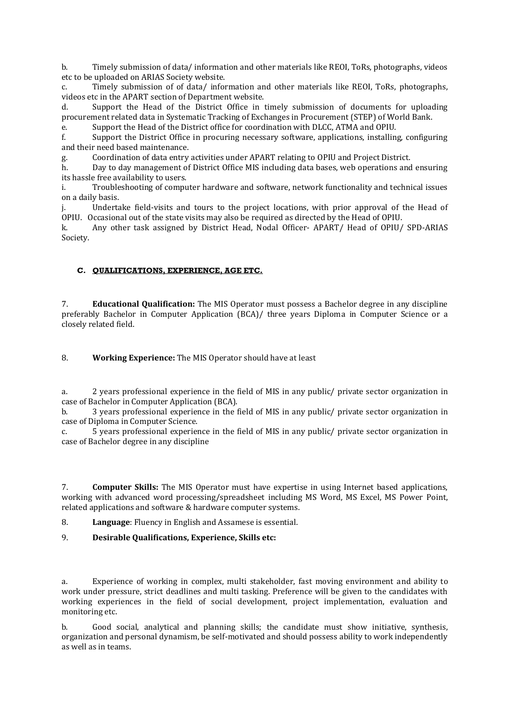b. Timely submission of data/ information and other materials like REOI, ToRs, photographs, videos etc to be uploaded on ARIAS Society website.

c. Timely submission of of data/ information and other materials like REOI, ToRs, photographs, videos etc in the APART section of Department website.

d. Support the Head of the District Office in timely submission of documents for uploading procurement related data in Systematic Tracking of Exchanges in Procurement (STEP) of World Bank.

e. Support the Head of the District office for coordination with DLCC, ATMA and OPIU.

f. Support the District Office in procuring necessary software, applications, installing, configuring and their need based maintenance.

g. Coordination of data entry activities under APART relating to OPIU and Project District.

h. Day to day management of District Office MIS including data bases, web operations and ensuring its hassle free availability to users.

i. Troubleshooting of computer hardware and software, network functionality and technical issues on a daily basis.

j. Undertake field-visits and tours to the project locations, with prior approval of the Head of OPIU. Occasional out of the state visits may also be required as directed by the Head of OPIU.

k. Any other task assigned by District Head, Nodal Officer- APART/ Head of OPIU/ SPD-ARIAS Society.

### **C. QUALIFICATIONS, EXPERIENCE, AGE ETC.**

7. **Educational Qualification:** The MIS Operator must possess a Bachelor degree in any discipline preferably Bachelor in Computer Application (BCA)/ three years Diploma in Computer Science or a closely related field.

8. **Working Experience:** The MIS Operator should have at least

a. 2 years professional experience in the field of MIS in any public/ private sector organization in case of Bachelor in Computer Application (BCA).

b. 3 years professional experience in the field of MIS in any public/ private sector organization in case of Diploma in Computer Science.

c. 5 years professional experience in the field of MIS in any public/ private sector organization in case of Bachelor degree in any discipline

7. **Computer Skills:** The MIS Operator must have expertise in using Internet based applications, working with advanced word processing/spreadsheet including MS Word, MS Excel, MS Power Point, related applications and software & hardware computer systems.

8. **Language**: Fluency in English and Assamese is essential.

9. **Desirable Qualifications, Experience, Skills etc:**

a. Experience of working in complex, multi stakeholder, fast moving environment and ability to work under pressure, strict deadlines and multi tasking. Preference will be given to the candidates with working experiences in the field of social development, project implementation, evaluation and monitoring etc.

b. Good social, analytical and planning skills; the candidate must show initiative, synthesis, organization and personal dynamism, be self-motivated and should possess ability to work independently as well as in teams.